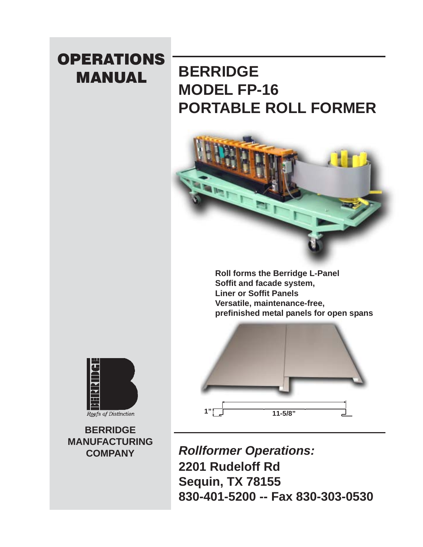# **OPERATIONS** MANUAL **BERRIDGE**

# **MODEL FP-16 PORTABLE ROLL FORMER**



**Roll forms the Berridge L-Panel Soffit and facade system, Liner or Soffit Panels Versatile, maintenance-free, prefinished metal panels for open spans**





**BERRIDGE MANUFACTURING COMPANY**

*Rollformer Operations:* **2201 Rudeloff Rd Sequin, TX 78155 830-401-5200 -- Fax 830-303-0530**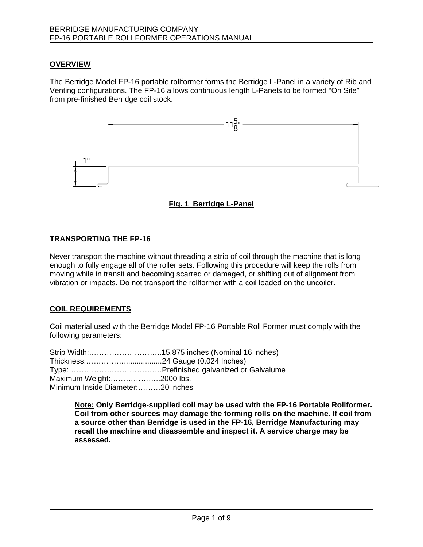#### **OVERVIEW**

The Berridge Model FP-16 portable rollformer forms the Berridge L-Panel in a variety of Rib and Venting configurations. The FP-16 allows continuous length L-Panels to be formed "On Site" from pre-finished Berridge coil stock.



**Fig. 1 Berridge L-Panel**

#### **TRANSPORTING THE FP-16**

Never transport the machine without threading a strip of coil through the machine that is long enough to fully engage all of the roller sets. Following this procedure will keep the rolls from moving while in transit and becoming scarred or damaged, or shifting out of alignment from vibration or impacts. Do not transport the rollformer with a coil loaded on the uncoiler.

#### **COIL REQUIREMENTS**

Coil material used with the Berridge Model FP-16 Portable Roll Former must comply with the following parameters:

|                                   | Strip Width:15.875 inches (Nominal 16 inches) |
|-----------------------------------|-----------------------------------------------|
|                                   |                                               |
|                                   |                                               |
| Maximum Weight:2000 lbs.          |                                               |
| Minimum Inside Diameter:20 inches |                                               |

**Note: Only Berridge-supplied coil may be used with the FP-16 Portable Rollformer. Coil from other sources may damage the forming rolls on the machine. If coil from a source other than Berridge is used in the FP-16, Berridge Manufacturing may recall the machine and disassemble and inspect it. A service charge may be assessed.**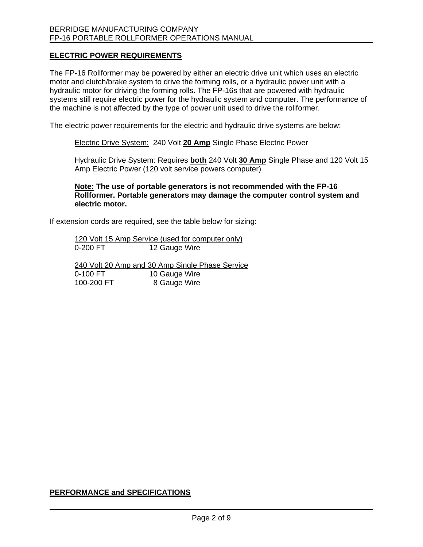#### **ELECTRIC POWER REQUIREMENTS**

The FP-16 Rollformer may be powered by either an electric drive unit which uses an electric motor and clutch/brake system to drive the forming rolls, or a hydraulic power unit with a hydraulic motor for driving the forming rolls. The FP-16s that are powered with hydraulic systems still require electric power for the hydraulic system and computer. The performance of the machine is not affected by the type of power unit used to drive the rollformer.

The electric power requirements for the electric and hydraulic drive systems are below:

Electric Drive System: 240 Volt **20 Amp** Single Phase Electric Power

Hydraulic Drive System: Requires **both** 240 Volt **30 Amp** Single Phase and 120 Volt 15 Amp Electric Power (120 volt service powers computer)

**Note: The use of portable generators is not recommended with the FP-16 Rollformer. Portable generators may damage the computer control system and electric motor.** 

If extension cords are required, see the table below for sizing:

120 Volt 15 Amp Service (used for computer only)<br>0-200 FT 12 Gauge Wire 12 Gauge Wire

240 Volt 20 Amp and 30 Amp Single Phase Service 0-100 FT 10 Gauge Wire 100-200 FT 8 Gauge Wire

#### **PERFORMANCE and SPECIFICATIONS**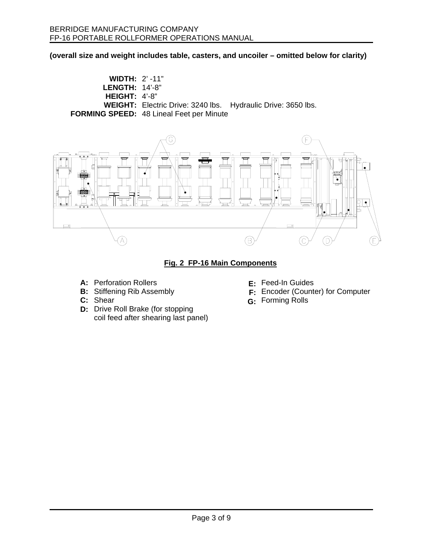**(overall size and weight includes table, casters, and uncoiler – omitted below for clarity)** 

**WIDTH:**  2' -11" **LENGTH:**  14'-8" **HEIGHT:**  4'-8" WEIGHT: Electric Drive: 3240 lbs. Hydraulic Drive: 3650 lbs. **FORMING SPEED:**  48 Lineal Feet per Minute



#### **Fig. 2 FP-16 Main Components**

- **A:**  Perforation Rollers
- **B:**  Stiffening Rib Assembly
- **C:**  Shear
- **D:**  Drive Roll Brake (for stopping coil feed after shearing last panel)
- **E:**  Feed-In Guides
- **F:**  Encoder (Counter) for Computer
- **G:**  Forming Rolls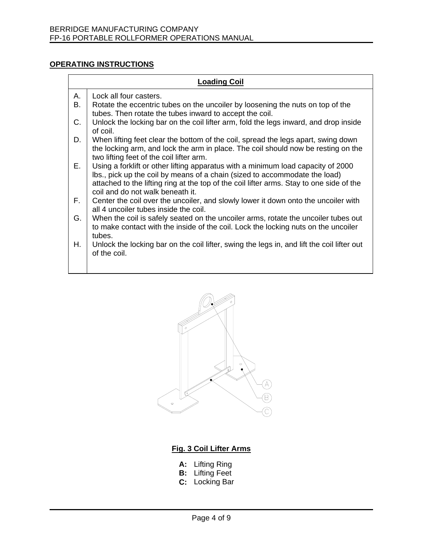#### **OPERATING INSTRUCTIONS**

| <b>Loading Coil</b> |                                                                                                                                                                                                                                                                                                |  |
|---------------------|------------------------------------------------------------------------------------------------------------------------------------------------------------------------------------------------------------------------------------------------------------------------------------------------|--|
| Α.                  | Lock all four casters.                                                                                                                                                                                                                                                                         |  |
| В.                  | Rotate the eccentric tubes on the uncoller by loosening the nuts on top of the<br>tubes. Then rotate the tubes inward to accept the coil.                                                                                                                                                      |  |
| C.                  | Unlock the locking bar on the coil lifter arm, fold the legs inward, and drop inside<br>of coil.                                                                                                                                                                                               |  |
| D.                  | When lifting feet clear the bottom of the coil, spread the legs apart, swing down<br>the locking arm, and lock the arm in place. The coil should now be resting on the<br>two lifting feet of the coil lifter arm.                                                                             |  |
| Е.                  | Using a forklift or other lifting apparatus with a minimum load capacity of 2000<br>Ibs., pick up the coil by means of a chain (sized to accommodate the load)<br>attached to the lifting ring at the top of the coil lifter arms. Stay to one side of the<br>coil and do not walk beneath it. |  |
| F.                  | Center the coil over the uncoiler, and slowly lower it down onto the uncoiler with<br>all 4 uncoiler tubes inside the coil.                                                                                                                                                                    |  |
| G.                  | When the coil is safely seated on the uncoiler arms, rotate the uncoiler tubes out<br>to make contact with the inside of the coil. Lock the locking nuts on the uncoiler<br>tubes.                                                                                                             |  |
| Н.                  | Unlock the locking bar on the coil lifter, swing the legs in, and lift the coil lifter out<br>of the coil.                                                                                                                                                                                     |  |



# **Fig. 3 Coil Lifter Arms**

- **A:**  Lifting Ring
- **B:**  Lifting Feet
- **C:**  Locking Bar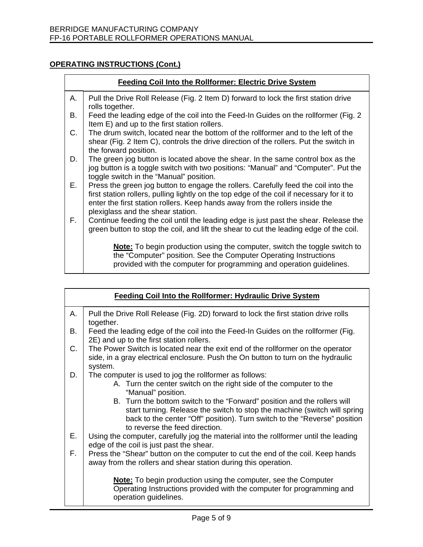#### **OPERATING INSTRUCTIONS (Cont.)**

| <b>Feeding Coil Into the Rollformer: Electric Drive System</b> |                                                                                                                                                                                                                                                                                                      |  |
|----------------------------------------------------------------|------------------------------------------------------------------------------------------------------------------------------------------------------------------------------------------------------------------------------------------------------------------------------------------------------|--|
| Α.                                                             | Pull the Drive Roll Release (Fig. 2 Item D) forward to lock the first station drive<br>rolls together.                                                                                                                                                                                               |  |
| В.                                                             | Feed the leading edge of the coil into the Feed-In Guides on the rollformer (Fig. 2)<br>Item E) and up to the first station rollers.                                                                                                                                                                 |  |
| C.                                                             | The drum switch, located near the bottom of the rollformer and to the left of the<br>shear (Fig. 2 Item C), controls the drive direction of the rollers. Put the switch in<br>the forward position.                                                                                                  |  |
| D.                                                             | The green jog button is located above the shear. In the same control box as the<br>jog button is a toggle switch with two positions: "Manual" and "Computer". Put the<br>toggle switch in the "Manual" position.                                                                                     |  |
| Е.                                                             | Press the green jog button to engage the rollers. Carefully feed the coil into the<br>first station rollers, pulling lightly on the top edge of the coil if necessary for it to<br>enter the first station rollers. Keep hands away from the rollers inside the<br>plexiglass and the shear station. |  |
| F.                                                             | Continue feeding the coil until the leading edge is just past the shear. Release the<br>green button to stop the coil, and lift the shear to cut the leading edge of the coil.                                                                                                                       |  |
|                                                                | <b>Note:</b> To begin production using the computer, switch the toggle switch to<br>the "Computer" position. See the Computer Operating Instructions<br>provided with the computer for programming and operation guidelines.                                                                         |  |

|     | <b>Feeding Coil Into the Rollformer: Hydraulic Drive System</b>                                                                                                                                                                                                                                                                                                                                                            |
|-----|----------------------------------------------------------------------------------------------------------------------------------------------------------------------------------------------------------------------------------------------------------------------------------------------------------------------------------------------------------------------------------------------------------------------------|
| Α.  | Pull the Drive Roll Release (Fig. 2D) forward to lock the first station drive rolls<br>together.                                                                                                                                                                                                                                                                                                                           |
| В.  | Feed the leading edge of the coil into the Feed-In Guides on the rollformer (Fig.<br>2E) and up to the first station rollers.                                                                                                                                                                                                                                                                                              |
| C.  | The Power Switch is located near the exit end of the rollformer on the operator<br>side, in a gray electrical enclosure. Push the On button to turn on the hydraulic<br>system.                                                                                                                                                                                                                                            |
| D.  | The computer is used to jog the rollformer as follows:<br>A. Turn the center switch on the right side of the computer to the<br>"Manual" position.<br>B. Turn the bottom switch to the "Forward" position and the rollers will<br>start turning. Release the switch to stop the machine (switch will spring<br>back to the center "Off" position). Turn switch to the "Reverse" position<br>to reverse the feed direction. |
| Е., | Using the computer, carefully jog the material into the rollformer until the leading<br>edge of the coil is just past the shear.                                                                                                                                                                                                                                                                                           |
| F.  | Press the "Shear" button on the computer to cut the end of the coil. Keep hands<br>away from the rollers and shear station during this operation.                                                                                                                                                                                                                                                                          |
|     | <b>Note:</b> To begin production using the computer, see the Computer<br>Operating Instructions provided with the computer for programming and<br>operation guidelines.                                                                                                                                                                                                                                                    |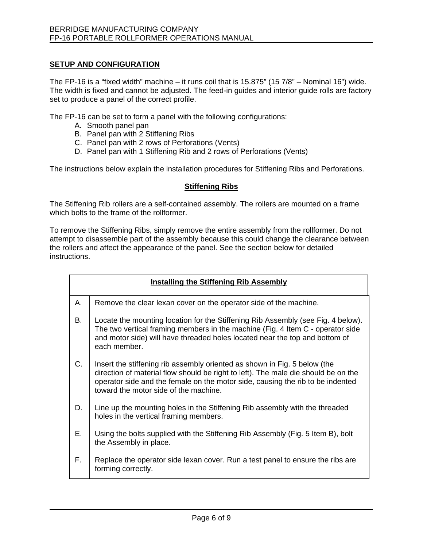#### **SETUP AND CONFIGURATION**

The FP-16 is a "fixed width" machine – it runs coil that is 15.875" (15 7/8" – Nominal 16") wide. The width is fixed and cannot be adjusted. The feed-in guides and interior guide rolls are factory set to produce a panel of the correct profile.

The FP-16 can be set to form a panel with the following configurations:

- A. Smooth panel pan
- B. Panel pan with 2 Stiffening Ribs
- C. Panel pan with 2 rows of Perforations (Vents)
- D. Panel pan with 1 Stiffening Rib and 2 rows of Perforations (Vents)

The instructions below explain the installation procedures for Stiffening Ribs and Perforations.

#### **Stiffening Ribs**

The Stiffening Rib rollers are a self-contained assembly. The rollers are mounted on a frame which bolts to the frame of the rollformer.

To remove the Stiffening Ribs, simply remove the entire assembly from the rollformer. Do not attempt to disassemble part of the assembly because this could change the clearance between the rollers and affect the appearance of the panel. See the section below for detailed instructions.

|    | Installing the Stiffening Rib Assembly                                                                                                                                                                                                                                                     |
|----|--------------------------------------------------------------------------------------------------------------------------------------------------------------------------------------------------------------------------------------------------------------------------------------------|
| А. | Remove the clear lexan cover on the operator side of the machine.                                                                                                                                                                                                                          |
| В. | Locate the mounting location for the Stiffening Rib Assembly (see Fig. 4 below).<br>The two vertical framing members in the machine (Fig. 4 Item C - operator side<br>and motor side) will have threaded holes located near the top and bottom of<br>each member.                          |
| C. | Insert the stiffening rib assembly oriented as shown in Fig. 5 below (the<br>direction of material flow should be right to left). The male die should be on the<br>operator side and the female on the motor side, causing the rib to be indented<br>toward the motor side of the machine. |
| D. | Line up the mounting holes in the Stiffening Rib assembly with the threaded<br>holes in the vertical framing members.                                                                                                                                                                      |
| Е. | Using the bolts supplied with the Stiffening Rib Assembly (Fig. 5 Item B), bolt<br>the Assembly in place.                                                                                                                                                                                  |
| F. | Replace the operator side lexan cover. Run a test panel to ensure the ribs are<br>forming correctly.                                                                                                                                                                                       |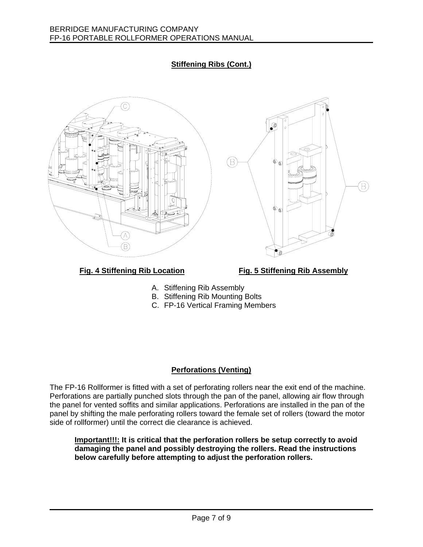# **Stiffening Ribs (Cont.)**





**Fig. 4 Stiffening Rib Location**

### **Fig. 5 Stiffening Rib Assembly**

- A. Stiffening Rib Assembly
- B. Stiffening Rib Mounting Bolts
- C. FP-16 Vertical Framing Members

# **Perforations (Venting)**

The FP-16 Rollformer is fitted with a set of perforating rollers near the exit end of the machine. Perforations are partially punched slots through the pan of the panel, allowing air flow through the panel for vented soffits and similar applications. Perforations are installed in the pan of the panel by shifting the male perforating rollers toward the female set of rollers (toward the motor side of rollformer) until the correct die clearance is achieved.

**Important!!!: It is critical that the perforation rollers be setup correctly to avoid damaging the panel and possibly destroying the rollers. Read the instructions below carefully before attempting to adjust the perforation rollers.**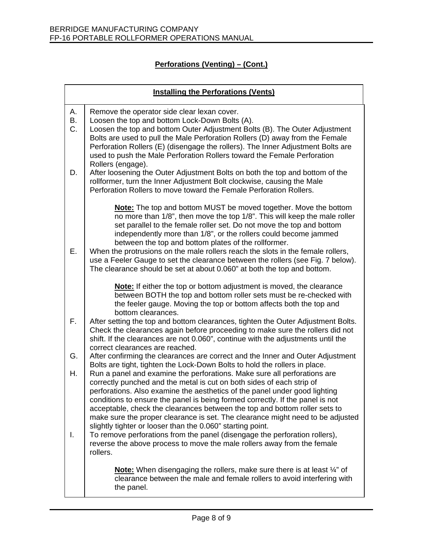# **Perforations (Venting) – (Cont.)**

| <b>Installing the Perforations (Vents)</b> |                                                                                                                                                                                                                                                                                                                                                                                                                                                                                                                                                                                                                                                                                                                                                                                                   |
|--------------------------------------------|---------------------------------------------------------------------------------------------------------------------------------------------------------------------------------------------------------------------------------------------------------------------------------------------------------------------------------------------------------------------------------------------------------------------------------------------------------------------------------------------------------------------------------------------------------------------------------------------------------------------------------------------------------------------------------------------------------------------------------------------------------------------------------------------------|
| А.<br>В.<br>C.<br>D.                       | Remove the operator side clear lexan cover.<br>Loosen the top and bottom Lock-Down Bolts (A).<br>Loosen the top and bottom Outer Adjustment Bolts (B). The Outer Adjustment<br>Bolts are used to pull the Male Perforation Rollers (D) away from the Female<br>Perforation Rollers (E) (disengage the rollers). The Inner Adjustment Bolts are<br>used to push the Male Perforation Rollers toward the Female Perforation<br>Rollers (engage).<br>After loosening the Outer Adjustment Bolts on both the top and bottom of the<br>rollformer, turn the Inner Adjustment Bolt clockwise, causing the Male<br>Perforation Rollers to move toward the Female Perforation Rollers.                                                                                                                    |
| Е.                                         | <b>Note:</b> The top and bottom MUST be moved together. Move the bottom<br>no more than 1/8", then move the top 1/8". This will keep the male roller<br>set parallel to the female roller set. Do not move the top and bottom<br>independently more than 1/8", or the rollers could become jammed<br>between the top and bottom plates of the rollformer.<br>When the protrusions on the male rollers reach the slots in the female rollers,<br>use a Feeler Gauge to set the clearance between the rollers (see Fig. 7 below).<br>The clearance should be set at about 0.060" at both the top and bottom.                                                                                                                                                                                        |
| F.                                         | Note: If either the top or bottom adjustment is moved, the clearance<br>between BOTH the top and bottom roller sets must be re-checked with<br>the feeler gauge. Moving the top or bottom affects both the top and<br>bottom clearances.<br>After setting the top and bottom clearances, tighten the Outer Adjustment Bolts.<br>Check the clearances again before proceeding to make sure the rollers did not                                                                                                                                                                                                                                                                                                                                                                                     |
| G.                                         | shift. If the clearances are not 0.060", continue with the adjustments until the<br>correct clearances are reached.<br>After confirming the clearances are correct and the Inner and Outer Adjustment                                                                                                                                                                                                                                                                                                                                                                                                                                                                                                                                                                                             |
| Η.<br>I.                                   | Bolts are tight, tighten the Lock-Down Bolts to hold the rollers in place.<br>Run a panel and examine the perforations. Make sure all perforations are<br>correctly punched and the metal is cut on both sides of each strip of<br>perforations. Also examine the aesthetics of the panel under good lighting<br>conditions to ensure the panel is being formed correctly. If the panel is not<br>acceptable, check the clearances between the top and bottom roller sets to<br>make sure the proper clearance is set. The clearance might need to be adjusted<br>slightly tighter or looser than the 0.060" starting point.<br>To remove perforations from the panel (disengage the perforation rollers),<br>reverse the above process to move the male rollers away from the female<br>rollers. |
|                                            | <b>Note:</b> When disengaging the rollers, make sure there is at least 1/4" of<br>clearance between the male and female rollers to avoid interfering with<br>the panel.                                                                                                                                                                                                                                                                                                                                                                                                                                                                                                                                                                                                                           |